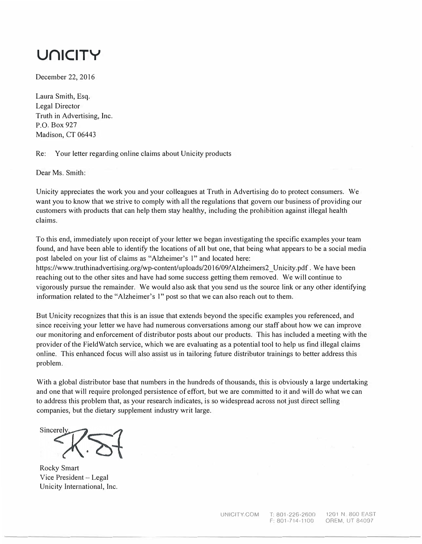## **UrllCITY**

December 22, 2016

Laura Smith, Esq. Legal Director Truth in Advertising, Inc. P.O. Box 927 Madison, CT 06443

Re: Your letter regarding online claims about Unicity products

Dear Ms. Smith:

Unicity appreciates the work you and your colleagues at Truth in Advertising do to protect consumers. We want you to know that we strive to comply with all the regulations that govern our business of providing our customers with products that can help them stay healthy, including the prohibition against illegal health claims.

To this end, immediately upon receipt of your letter we began investigating the specific examples your team found, and have been able to identify the locations of all but one, that being what appears to be a social media post labeled on your list of claims as "Alzheimer's I" and located here:

https://www.truthinadvertising.org/wp-content/uploads/2016/09/Alzheimers2 Unicity.pdf. We have been reaching out to the other sites and have had some success getting them removed. We will continue to vigorously pursue the remainder. We would also ask that you send us the source link or any other identifying information related to the "Alzheimer's I" post so that we can also reach out to them.

But Unicity recognizes that this is an issue that extends beyond the specific examples you referenced, and since receiving your letter we have had numerous conversations among our staff about how we can improve our monitoring and enforcement of distributor posts about our products. This has included a meeting with the provider of the Field Watch service, which we are evaluating as a potential tool to help us find illegal claims online. This enhanced focus will also assist us in tailoring future distributor trainings to better address this problem.

With a global distributor base that numbers in the hundreds of thousands, this is obviously a large undertaking and one that will require prolonged persistence of effort, but we are committed to it and will do what we can to address this problem that, as your research indicates, is so widespread across not just direct selling companies, but the dietary supplement industry writ large.

Sincerely

Rocky Smart Vice President - Legal Unicity International, Inc.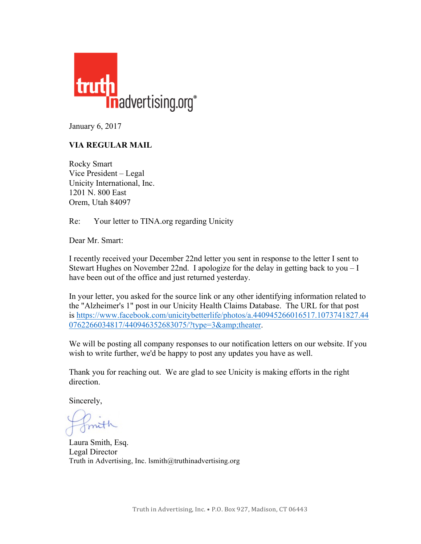

January 6, 2017

## **VIA REGULAR MAIL**

Rocky Smart Vice President – Legal Unicity International, Inc. 1201 N. 800 East Orem, Utah 84097

Re: Your letter to TINA.org regarding Unicity

Dear Mr. Smart:

I recently received your December 22nd letter you sent in response to the letter I sent to Stewart Hughes on November 22nd. I apologize for the delay in getting back to you – I have been out of the office and just returned yesterday.

In your letter, you asked for the source link or any other identifying information related to the "Alzheimer's 1" post in our Unicity Health Claims Database. The URL for that post is https://www.facebook.com/unicitybetterlife/photos/a.440945266016517.1073741827.44 0762266034817/440946352683075/?type=3&theater.

We will be posting all company responses to our notification letters on our website. If you wish to write further, we'd be happy to post any updates you have as well.

Thank you for reaching out. We are glad to see Unicity is making efforts in the right direction.

Sincerely,

Laura Smith, Esq. Legal Director Truth in Advertising, Inc. lsmith@truthinadvertising.org